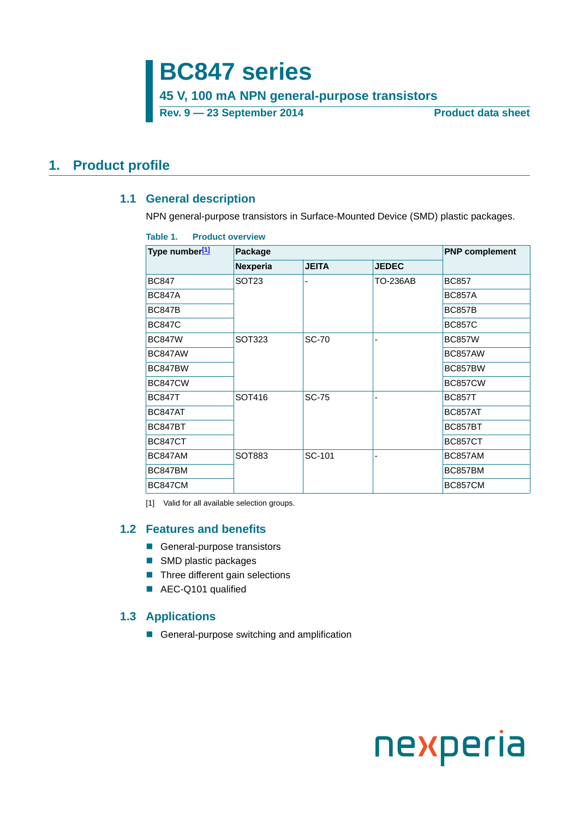# **BC847 series**

# **45 V, 100 mA NPN general-purpose transistors**

**Rev. 9 — 23 September 2014 Product data sheet**

## <span id="page-0-3"></span><span id="page-0-2"></span>**1. Product profile**

## **1.1 General description**

NPN general-purpose transistors in Surface-Mounted Device (SMD) plastic packages.

| Type number[1] | Package                | <b>PNP complement</b> |               |                |
|----------------|------------------------|-----------------------|---------------|----------------|
|                | Nexperia               | <b>JEITA</b>          | <b>JEDEC</b>  |                |
| <b>BC847</b>   | SOT <sub>23</sub>      |                       | TO-236AB      | <b>BC857</b>   |
| <b>BC847A</b>  |                        |                       |               | <b>BC857A</b>  |
| <b>BC847B</b>  |                        |                       |               | <b>BC857B</b>  |
| <b>BC847C</b>  |                        |                       |               | <b>BC857C</b>  |
| <b>BC847W</b>  | SOT323<br><b>SC-70</b> |                       | <b>BC857W</b> |                |
| BC847AW        |                        |                       |               | BC857AW        |
| BC847BW        |                        |                       |               | BC857BW        |
| BC847CW        |                        |                       |               | <b>BC857CW</b> |
| <b>BC847T</b>  | SOT416                 | <b>SC-75</b>          |               | <b>BC857T</b>  |
| BC847AT        |                        |                       |               | <b>BC857AT</b> |
| BC847BT        |                        |                       |               | <b>BC857BT</b> |
| BC847CT        |                        |                       |               | <b>BC857CT</b> |
| BC847AM        | SOT883                 | SC-101                |               | BC857AM        |
| BC847BM        |                        |                       |               | BC857BM        |
| BC847CM        |                        |                       |               | <b>BC857CM</b> |

**Table 1. Product overview**

<span id="page-0-0"></span>[1] Valid for all available selection groups.

## <span id="page-0-1"></span>**1.2 Features and benefits**

- General-purpose transistors
- SMD plastic packages
- Three different gain selections
- AEC-Q101 qualified

### <span id="page-0-4"></span>**1.3 Applications**

General-purpose switching and amplification

# nexperia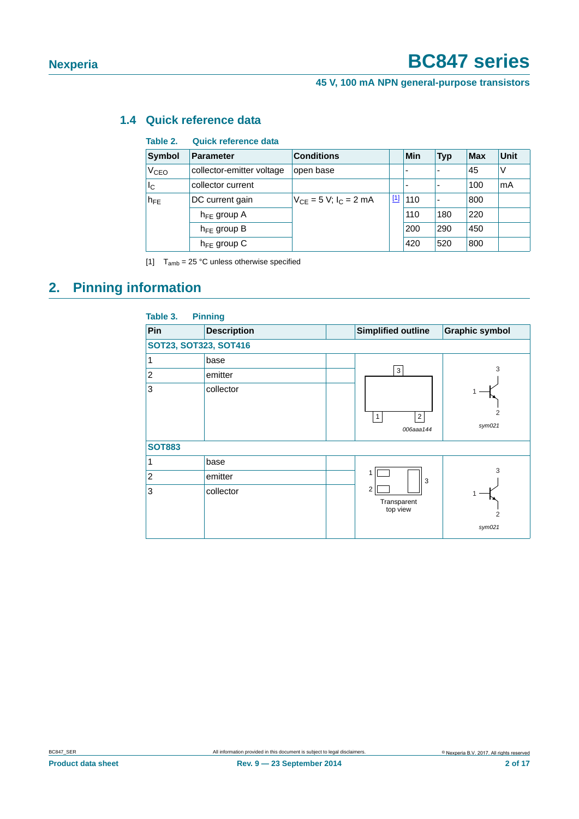**45 V, 100 mA NPN general-purpose transistors**

## <span id="page-1-1"></span>**1.4 Quick reference data**

#### **Table 2. Quick reference data**

| Symbol           | <b>Parameter</b>          | <b>Conditions</b>             |       | Min                      | <b>Typ</b>               | Max | Unit |
|------------------|---------------------------|-------------------------------|-------|--------------------------|--------------------------|-----|------|
| V <sub>CEO</sub> | collector-emitter voltage | open base                     |       | $\overline{\phantom{a}}$ |                          | 45  | ٧    |
| I <sub>C</sub>   | collector current         |                               |       | $\overline{\phantom{0}}$ |                          | 100 | mA   |
| $h_{FE}$         | DC current gain           | $V_{CF} = 5 V$ ; $I_C = 2 mA$ | $[1]$ | 110                      | $\overline{\phantom{0}}$ | 800 |      |
|                  | $h_{FE}$ group A          |                               |       | 110                      | 180                      | 220 |      |
|                  | $h_{FF}$ group B          |                               |       | 200                      | 290                      | 450 |      |
|                  | $h_{FE}$ group C          |                               |       | 420                      | 520                      | 800 |      |

<span id="page-1-0"></span>[1]  $T_{amb} = 25 °C$  unless otherwise specified

# <span id="page-1-2"></span>**2. Pinning information**

| Table 3.              | <b>Pinning</b>     |                                           |                       |
|-----------------------|--------------------|-------------------------------------------|-----------------------|
| Pin                   | <b>Description</b> | <b>Simplified outline</b>                 | <b>Graphic symbol</b> |
| SOT23, SOT323, SOT416 |                    |                                           |                       |
| 1                     | base               |                                           |                       |
| $\overline{2}$        | emitter            | 3                                         | 3                     |
| 3                     | collector          | 2<br>1<br>006aaa144                       | 2<br>sym021           |
| <b>SOT883</b>         |                    |                                           |                       |
|                       | base               |                                           |                       |
| $\overline{2}$        | emitter            | 3                                         | 3                     |
| 3                     | collector          | $\overline{2}$<br>Transparent<br>top view | 2<br>sym021           |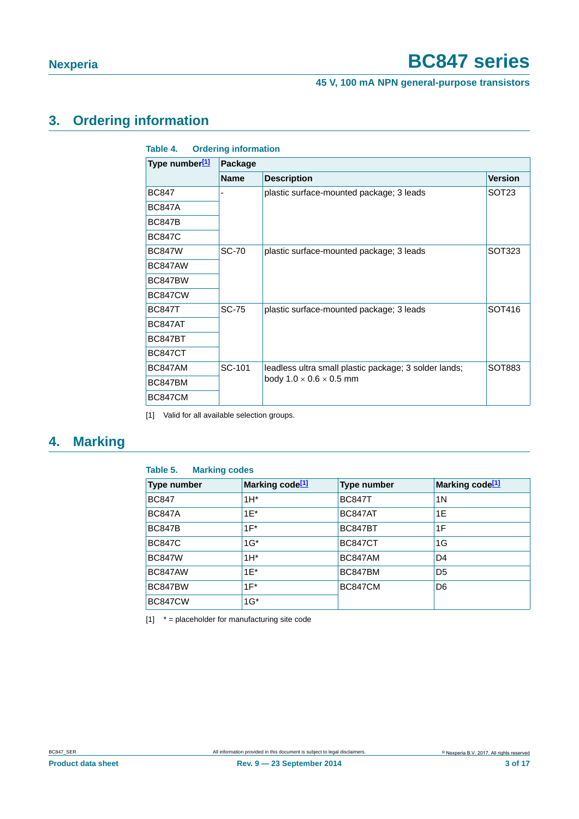## **45 V, 100 mA NPN general-purpose transistors**

# <span id="page-2-2"></span>**3. Ordering information**

#### **Table 4. Ordering information**

| Type number[1] | Package      |                                                       |                   |  |  |  |
|----------------|--------------|-------------------------------------------------------|-------------------|--|--|--|
|                | <b>Name</b>  | <b>Description</b>                                    | <b>Version</b>    |  |  |  |
| <b>BC847</b>   |              | plastic surface-mounted package; 3 leads              | SOT <sub>23</sub> |  |  |  |
| <b>BC847A</b>  |              |                                                       |                   |  |  |  |
| <b>BC847B</b>  |              |                                                       |                   |  |  |  |
| <b>BC847C</b>  |              |                                                       |                   |  |  |  |
| <b>BC847W</b>  | <b>SC-70</b> | plastic surface-mounted package; 3 leads              | SOT323            |  |  |  |
| BC847AW        |              |                                                       |                   |  |  |  |
| BC847BW        |              |                                                       |                   |  |  |  |
| BC847CW        |              |                                                       |                   |  |  |  |
| <b>BC847T</b>  | SC-75        | plastic surface-mounted package; 3 leads              | SOT416            |  |  |  |
| BC847AT        |              |                                                       |                   |  |  |  |
| BC847BT        |              |                                                       |                   |  |  |  |
| <b>BC847CT</b> |              |                                                       |                   |  |  |  |
| BC847AM        | SC-101       | leadless ultra small plastic package; 3 solder lands; | <b>SOT883</b>     |  |  |  |
| BC847BM        |              | body $1.0 \times 0.6 \times 0.5$ mm                   |                   |  |  |  |
| BC847CM        |              |                                                       |                   |  |  |  |

<span id="page-2-0"></span>[1] Valid for all available selection groups.

## <span id="page-2-3"></span>**4. Marking**

#### **Table 5. Marking codes**

| <b>Type number</b> | Marking code <sup>[1]</sup> | <b>Type number</b> | Marking code <sup>[1]</sup> |
|--------------------|-----------------------------|--------------------|-----------------------------|
| <b>BC847</b>       | $1H^*$                      | <b>BC847T</b>      | 1 <sub>N</sub>              |
| <b>BC847A</b>      | $1E^*$                      | BC847AT            | 1E                          |
| <b>BC847B</b>      | $1F^*$                      | <b>BC847BT</b>     | 1F                          |
| <b>BC847C</b>      | $1G^*$                      | <b>BC847CT</b>     | 1G                          |
| <b>BC847W</b>      | $1H^*$                      | BC847AM            | D <sub>4</sub>              |
| BC847AW            | $1F^*$                      | BC847BM            | D <sub>5</sub>              |
| BC847BW            | $1F^*$                      | BC847CM            | D <sub>6</sub>              |
| BC847CW            | $1G^*$                      |                    |                             |

<span id="page-2-1"></span> $[1]$  \* = placeholder for manufacturing site code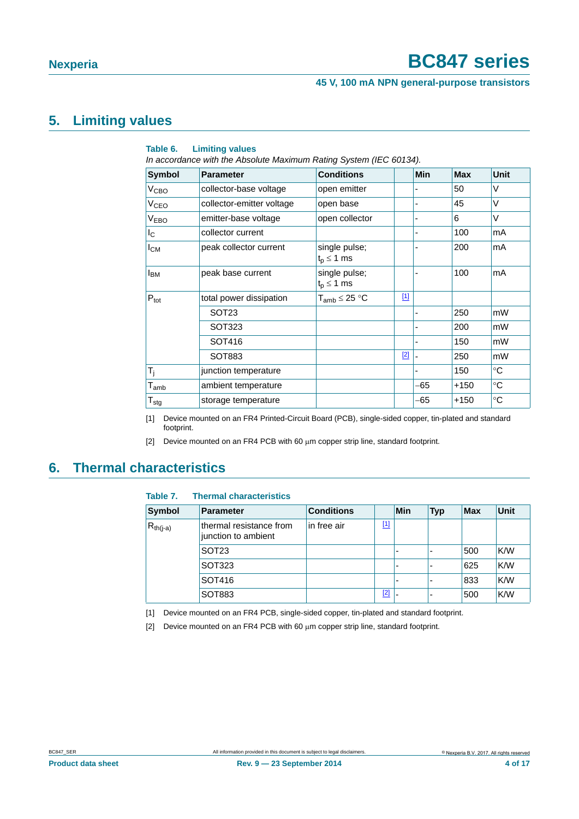#### **45 V, 100 mA NPN general-purpose transistors**

## <span id="page-3-4"></span>**5. Limiting values**

|                             | In accordance with the Absolute Maximum Rating System (IEC 60134). |                                    |       |            |            |             |
|-----------------------------|--------------------------------------------------------------------|------------------------------------|-------|------------|------------|-------------|
| <b>Symbol</b>               | <b>Parameter</b>                                                   | <b>Conditions</b>                  |       | <b>Min</b> | <b>Max</b> | <b>Unit</b> |
| V <sub>CBO</sub>            | collector-base voltage                                             | open emitter                       |       |            | 50         | V           |
| <b>V<sub>CEO</sub></b>      | collector-emitter voltage                                          | open base                          |       |            | 45         | $\vee$      |
| <b>VEBO</b>                 | emitter-base voltage                                               | open collector                     |       |            | 6          | $\vee$      |
| $I_{\rm C}$                 | collector current                                                  |                                    |       |            | 100        | mA          |
| I <sub>СМ</sub>             | peak collector current                                             | single pulse;<br>$t_{p} \leq 1$ ms |       |            | 200        | mA          |
| Iвм                         | peak base current                                                  | single pulse;<br>$t_p \leq 1$ ms   |       |            | 100        | mA          |
| $P_{\text{tot}}$            | total power dissipation                                            | $T_{amb} \leq 25 °C$               | $[1]$ |            |            |             |
|                             | SOT <sub>23</sub>                                                  |                                    |       |            | 250        | mW          |
|                             | SOT323                                                             |                                    |       |            | 200        | mW          |
|                             | SOT416                                                             |                                    |       |            | 150        | mW          |
|                             | SOT883                                                             |                                    | $[2]$ |            | 250        | mW          |
| $T_j$                       | junction temperature                                               |                                    |       |            | 150        | $^{\circ}C$ |
| $\mathsf{T}_{\mathsf{amb}}$ | ambient temperature                                                |                                    |       | -65        | $+150$     | $^{\circ}C$ |
| $T_{\text{stg}}$            | storage temperature                                                |                                    |       | -65        | $+150$     | $^{\circ}C$ |

**Table 6. Limiting values**

<span id="page-3-0"></span>[1] Device mounted on an FR4 Printed-Circuit Board (PCB), single-sided copper, tin-plated and standard footprint.

<span id="page-3-1"></span>[2] Device mounted on an FR4 PCB with 60 µm copper strip line, standard footprint.

# <span id="page-3-5"></span>**6. Thermal characteristics**

| Table 7.      | <b>Thermal characteristics</b>                 |                   |       |                          |                          |            |             |
|---------------|------------------------------------------------|-------------------|-------|--------------------------|--------------------------|------------|-------------|
| Symbol        | Parameter                                      | <b>Conditions</b> |       | Min                      | <b>Typ</b>               | <b>Max</b> | <b>Unit</b> |
| $R_{th(j-a)}$ | thermal resistance from<br>junction to ambient | in free air       | [1]   |                          |                          |            |             |
|               | SOT <sub>23</sub>                              |                   |       | $\overline{\phantom{0}}$ | $\overline{\phantom{0}}$ | 500        | K/W         |
|               | SOT323                                         |                   |       |                          | $\overline{\phantom{0}}$ | 625        | K/W         |
|               | SOT416                                         |                   |       |                          | -                        | 833        | K/W         |
|               | SOT883                                         |                   | $[2]$ |                          | $\overline{\phantom{0}}$ | 500        | K/W         |

<span id="page-3-2"></span>[1] Device mounted on an FR4 PCB, single-sided copper, tin-plated and standard footprint.

<span id="page-3-3"></span>[2] Device mounted on an FR4 PCB with 60  $\mu$ m copper strip line, standard footprint.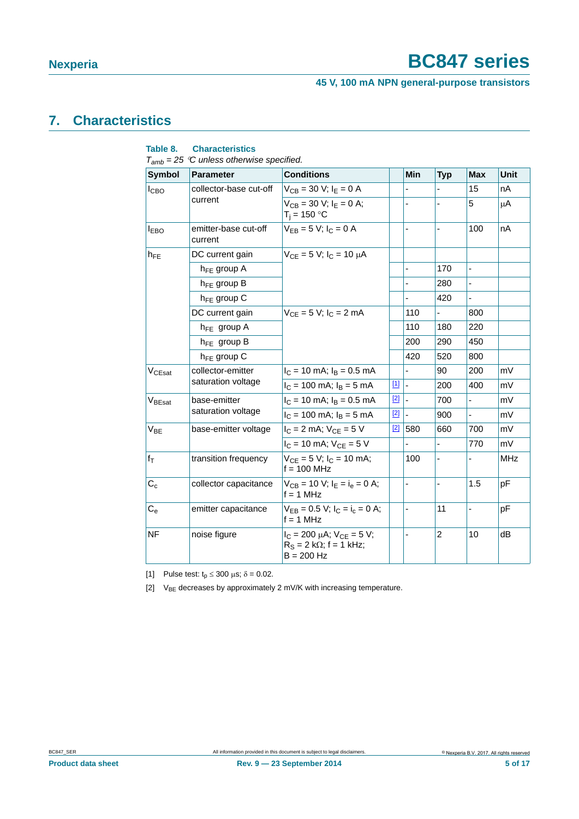**45 V, 100 mA NPN general-purpose transistors**

# <span id="page-4-2"></span>**7. Characteristics**

|                                                               | $T_{amb}$ = 25 °C unless otherwise specified. |                                                                                        |       |                          |                |            |             |
|---------------------------------------------------------------|-----------------------------------------------|----------------------------------------------------------------------------------------|-------|--------------------------|----------------|------------|-------------|
| <b>Symbol</b>                                                 | <b>Parameter</b>                              | <b>Conditions</b>                                                                      |       | Min                      | <b>Typ</b>     | <b>Max</b> | <b>Unit</b> |
| I <sub>CBO</sub>                                              | collector-base cut-off                        | $V_{CB} = 30 V; IE = 0 A$                                                              |       |                          |                | 15         | nA          |
|                                                               | current                                       | $V_{CB} = 30$ V; $I_E = 0$ A;<br>$T_i = 150 °C$                                        |       |                          |                | 5          | μA          |
| <b>I</b> <sub>EBO</sub>                                       | emitter-base cut-off<br>current               | $V_{EB} = 5 V$ ; $I_C = 0 A$                                                           |       |                          |                | 100        | nA          |
| $h_{FE}$                                                      | DC current gain                               | $V_{CF}$ = 5 V; $I_C$ = 10 $\mu$ A                                                     |       |                          |                |            |             |
|                                                               | $h_{FE}$ group A                              |                                                                                        |       |                          | 170            |            |             |
|                                                               | $h_{FE}$ group B                              |                                                                                        |       |                          | 280            |            |             |
|                                                               | $h_{FE}$ group C                              |                                                                                        |       |                          | 420            |            |             |
|                                                               | DC current gain                               | $V_{CF} = 5 V$ ; $I_C = 2 mA$                                                          |       | 110                      |                | 800        |             |
|                                                               | $h_{FE}$ group A                              |                                                                                        |       | 110                      | 180            | 220        |             |
|                                                               | $h_{FE}$ group B                              |                                                                                        |       | 200                      | 290            | 450        |             |
|                                                               | $h_{FE}$ group C                              |                                                                                        |       | 420                      | 520            | 800        |             |
| collector-emitter<br>V <sub>CEsat</sub><br>saturation voltage |                                               | $I_C = 10$ mA; $I_B = 0.5$ mA                                                          |       |                          | 90             | 200        | mV          |
|                                                               |                                               | $I_C = 100$ mA; $I_B = 5$ mA                                                           | $[1]$ | ä,                       | 200            | 400        | mV          |
| V <sub>BEsat</sub>                                            | base-emitter                                  | $I_C = 10$ mA; $I_B = 0.5$ mA                                                          | $[2]$ |                          | 700            |            | mV          |
|                                                               | saturation voltage                            | $I_C = 100$ mA; $I_B = 5$ mA                                                           | $[2]$ |                          | 900            |            | mV          |
| $V_{BE}$                                                      | base-emitter voltage                          | $I_C = 2$ mA; $V_{CE} = 5$ V                                                           | $[2]$ | 580                      | 660            | 700        | mV          |
|                                                               |                                               | $I_C = 10$ mA; $V_{CE} = 5$ V                                                          |       |                          |                | 770        | mV          |
| $f_T$                                                         | transition frequency                          | $V_{CE} = 5 V$ ; $I_C = 10$ mA;<br>$f = 100$ MHz                                       |       | 100                      |                |            | <b>MHz</b>  |
| $C_c$                                                         | collector capacitance                         | $V_{CB}$ = 10 V; $I_E = I_e = 0$ A;<br>$f = 1$ MHz                                     |       | ÷                        | ÷,             | 1.5        | рF          |
| $C_{\rm e}$                                                   | emitter capacitance                           | $V_{FB} = 0.5 V$ ; $I_C = I_c = 0 A$ ;<br>$f = 1$ MHz                                  |       | $\overline{\phantom{0}}$ | 11             |            | рF          |
| <b>NF</b>                                                     | noise figure                                  | $I_C = 200 \mu A$ ; $V_{CE} = 5 V$ ;<br>$R_S = 2 k\Omega$ ; f = 1 kHz;<br>$B = 200$ Hz |       |                          | $\overline{c}$ | 10         | dB          |

## **Table 8. Characteristics**

<span id="page-4-0"></span>[1] Pulse test:  $t_p \le 300 \text{ }\mu\text{s}; \delta = 0.02.$ 

<span id="page-4-1"></span>[2]  $V_{BE}$  decreases by approximately 2 mV/K with increasing temperature.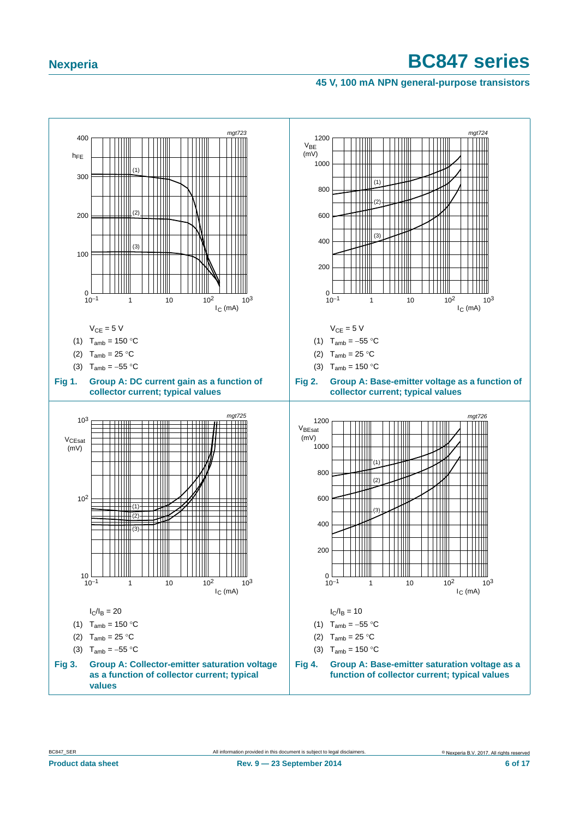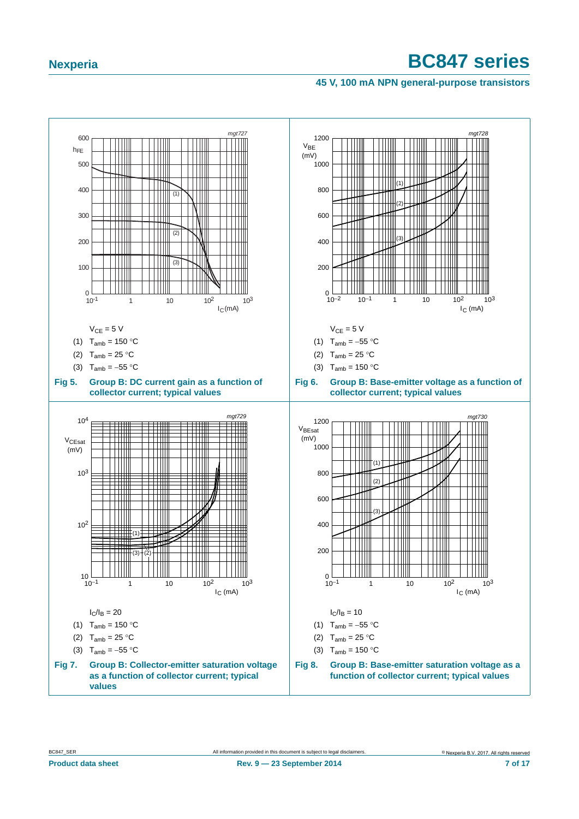<span id="page-6-0"></span>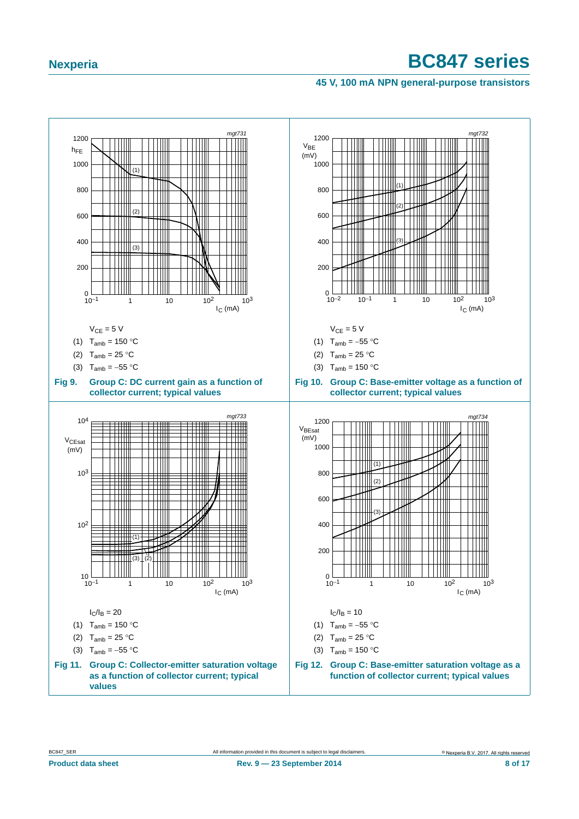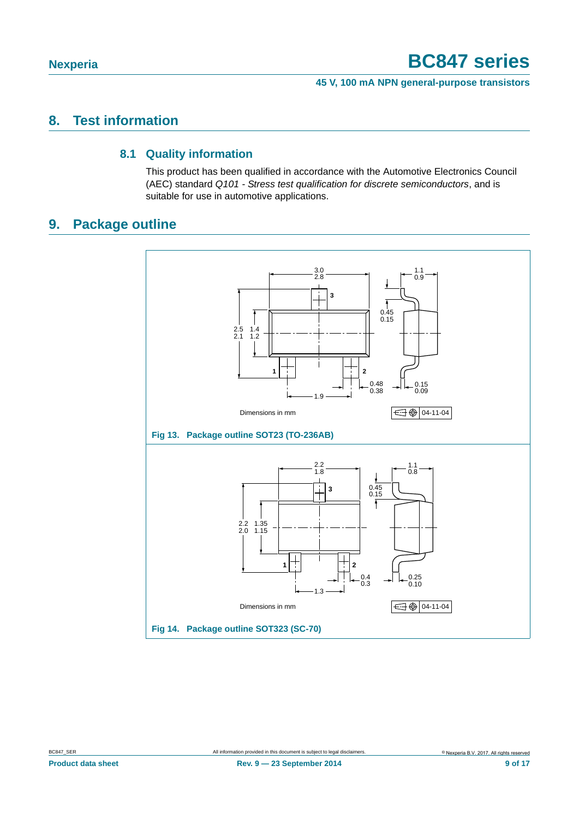**45 V, 100 mA NPN general-purpose transistors**

# <span id="page-8-1"></span><span id="page-8-0"></span>**8. Test information**

#### **8.1 Quality information**

This product has been qualified in accordance with the Automotive Electronics Council (AEC) standard *Q101 - Stress test qualification for discrete semiconductors*, and is suitable for use in automotive applications.

## <span id="page-8-2"></span>**9. Package outline**

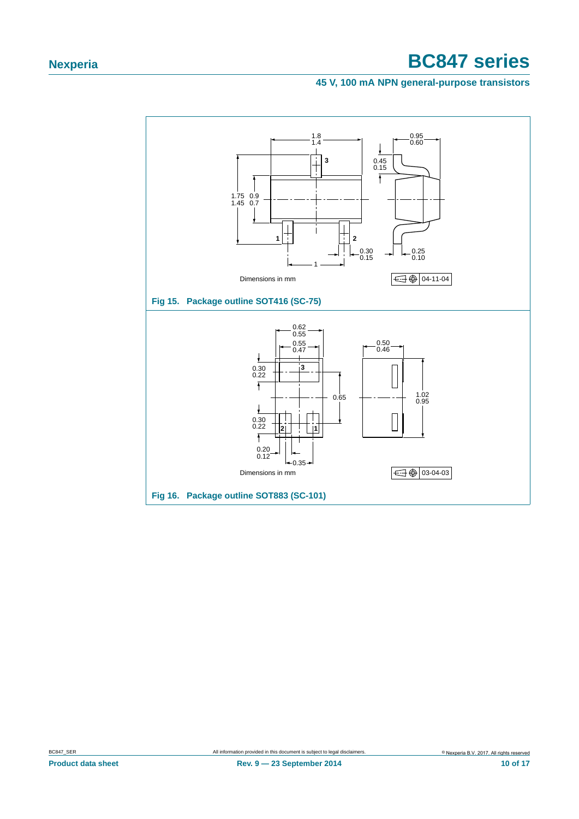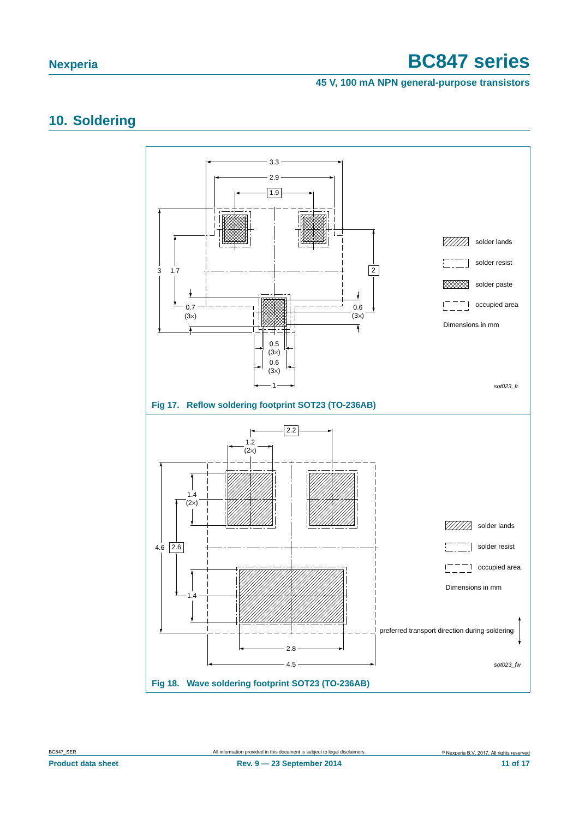**45 V, 100 mA NPN general-purpose transistors**

## <span id="page-10-0"></span>**10. Soldering**

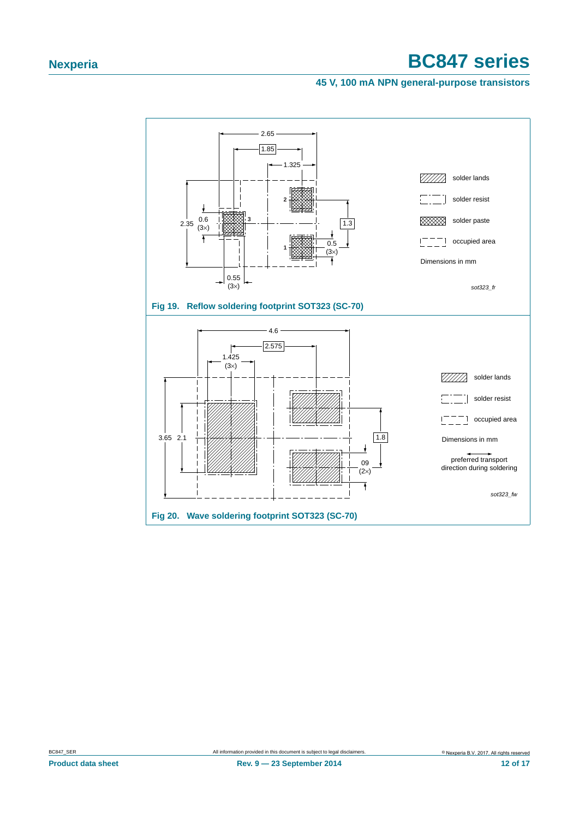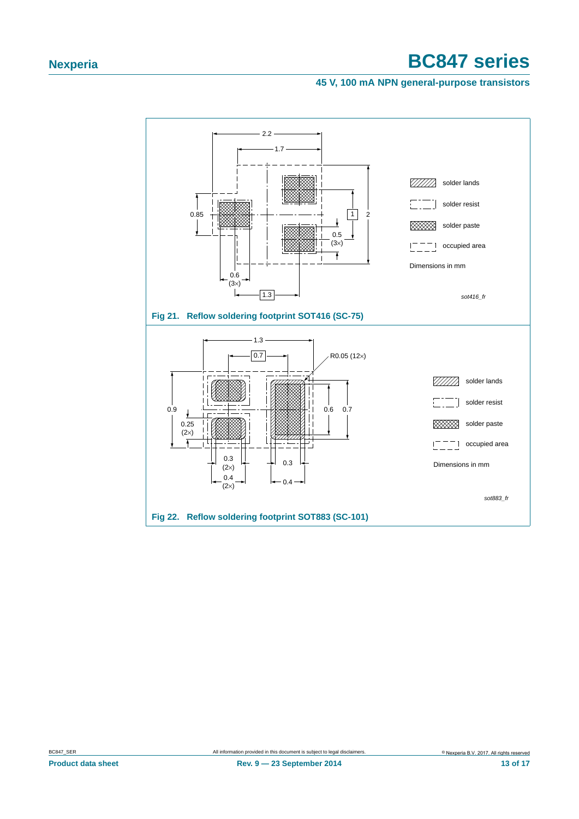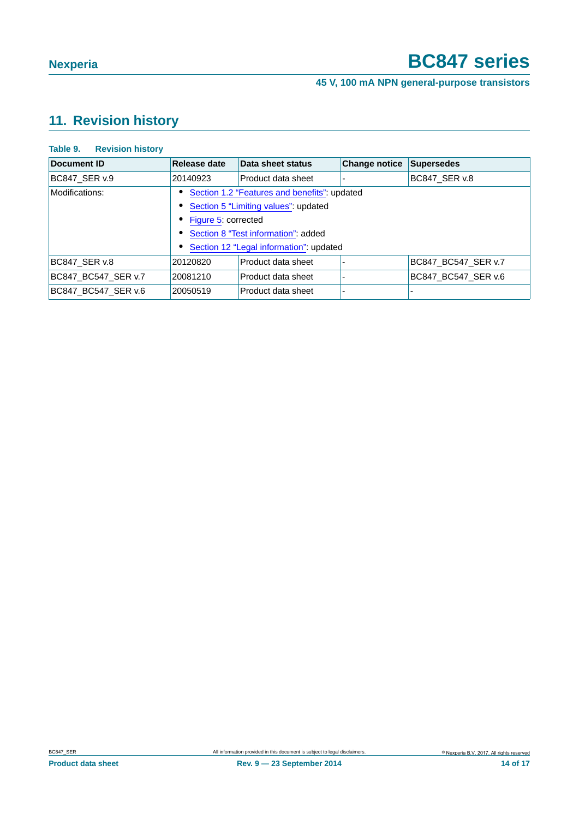**45 V, 100 mA NPN general-purpose transistors**

# <span id="page-13-0"></span>**11. Revision history**

#### **Table 9. Revision history**

| Document ID         | Release date                           | Data sheet status                            | <b>Change notice</b> | <b>Supersedes</b>   |  |
|---------------------|----------------------------------------|----------------------------------------------|----------------------|---------------------|--|
| BC847_SER v.9       | 20140923                               | Product data sheet                           |                      | BC847_SER v.8       |  |
| Modifications:      |                                        | Section 1.2 "Features and benefits": updated |                      |                     |  |
|                     | • Section 5 "Limiting values": updated |                                              |                      |                     |  |
|                     | • Figure 5: corrected                  |                                              |                      |                     |  |
|                     |                                        | • Section 8 "Test information": added        |                      |                     |  |
|                     |                                        | Section 12 "Legal information": updated      |                      |                     |  |
| BC847 SER v.8       | 20120820                               | Product data sheet                           |                      | BC847_BC547_SER v.7 |  |
| BC847_BC547_SER v.7 | 20081210                               | Product data sheet                           |                      | BC847 BC547 SER v.6 |  |
| BC847 BC547 SER v.6 | 20050519                               | Product data sheet                           |                      |                     |  |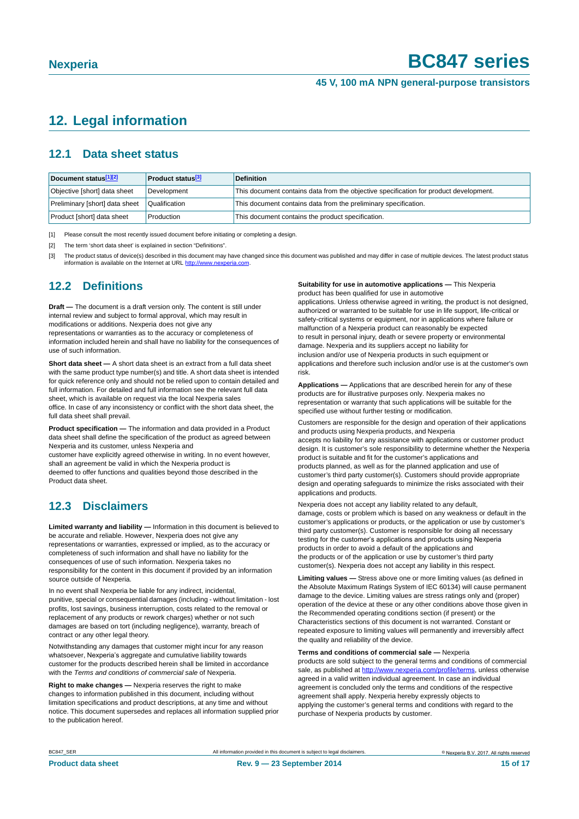#### **45 V, 100 mA NPN general-purpose transistors**

# <span id="page-14-0"></span>**12. Legal information**

### <span id="page-14-4"></span>**12.1 Data sheet status**

| Document status[1][2]          | <b>Product status</b> <sup>[3]</sup> | <b>Definition</b>                                                                     |
|--------------------------------|--------------------------------------|---------------------------------------------------------------------------------------|
| Objective [short] data sheet   | Development                          | This document contains data from the objective specification for product development. |
| Preliminary [short] data sheet | Qualification                        | This document contains data from the preliminary specification.                       |
| Product [short] data sheet     | Production                           | This document contains the product specification.                                     |

<span id="page-14-1"></span>[1] Please consult the most recently issued document before initiating or completing a design.

<span id="page-14-2"></span>[2] The term 'short data sheet' is explained in section "Definitions"

<span id="page-14-3"></span>[3] The product status of device(s) described in this document may have changed since this document was published and may differ in case of multiple devices. The latest product status<br>information is available on the Intern

### <span id="page-14-5"></span>**12.2 Definitions**

**Draft —** The document is a draft version only. The content is still under internal review and subject to formal approval, which may result in modifications or additions. Nexperia does not give any

representations or warranties as to the accuracy or completeness of information included herein and shall have no liability for the consequences of use of such information.

**Short data sheet —** A short data sheet is an extract from a full data sheet with the same product type number(s) and title. A short data sheet is intended for quick reference only and should not be relied upon to contain detailed and full information. For detailed and full information see the relevant full data sheet, which is available on request via the local Nexperia sales office. In case of any inconsistency or conflict with the short data sheet, the full data sheet shall prevail.

**Product specification —** The information and data provided in a Product data sheet shall define the specification of the product as agreed between Nexperia and its customer, unless Nexperia and

customer have explicitly agreed otherwise in writing. In no event however, shall an agreement be valid in which the Nexperia product is deemed to offer functions and qualities beyond those described in the Product data sheet.

## <span id="page-14-6"></span>**12.3 Disclaimers**

**Limited warranty and liability —** Information in this document is believed to be accurate and reliable. However, Nexperia does not give any representations or warranties, expressed or implied, as to the accuracy or completeness of such information and shall have no liability for the consequences of use of such information. Nexperia takes no responsibility for the content in this document if provided by an information source outside of Nexperia.

In no event shall Nexperia be liable for any indirect, incidental, punitive, special or consequential damages (including - without limitation - lost profits, lost savings, business interruption, costs related to the removal or replacement of any products or rework charges) whether or not such damages are based on tort (including negligence), warranty, breach of contract or any other legal theory.

Notwithstanding any damages that customer might incur for any reason whatsoever, Nexperia's aggregate and cumulative liability towards customer for the products described herein shall be limited in accordance with the *Terms and conditions of commercial sale* of Nexperia.

**Right to make changes —** Nexperia reserves the right to make changes to information published in this document, including without limitation specifications and product descriptions, at any time and without notice. This document supersedes and replaces all information supplied prior to the publication hereof.

#### **Suitability for use in automotive applications —** This Nexperia product has been qualified for use in automotive

applications. Unless otherwise agreed in writing, the product is not designed, authorized or warranted to be suitable for use in life support, life-critical or safety-critical systems or equipment, nor in applications where failure or malfunction of a Nexperia product can reasonably be expected to result in personal injury, death or severe property or environmental damage. Nexperia and its suppliers accept no liability for inclusion and/or use of Nexperia products in such equipment or applications and therefore such inclusion and/or use is at the customer's own risk.

**Applications —** Applications that are described herein for any of these products are for illustrative purposes only. Nexperia makes no representation or warranty that such applications will be suitable for the specified use without further testing or modification.

Customers are responsible for the design and operation of their applications and products using Nexperia products, and Nexperia accepts no liability for any assistance with applications or customer product design. It is customer's sole responsibility to determine whether the Nexperia product is suitable and fit for the customer's applications and products planned, as well as for the planned application and use of customer's third party customer(s). Customers should provide appropriate design and operating safeguards to minimize the risks associated with their applications and products.

Nexperia does not accept any liability related to any default, damage, costs or problem which is based on any weakness or default in the customer's applications or products, or the application or use by customer's third party customer(s). Customer is responsible for doing all necessary testing for the customer's applications and products using Nexperia products in order to avoid a default of the applications and the products or of the application or use by customer's third party customer(s). Nexperia does not accept any liability in this respect.

**Limiting values —** Stress above one or more limiting values (as defined in the Absolute Maximum Ratings System of IEC 60134) will cause permanent damage to the device. Limiting values are stress ratings only and (proper) operation of the device at these or any other conditions above those given in the Recommended operating conditions section (if present) or the Characteristics sections of this document is not warranted. Constant or repeated exposure to limiting values will permanently and irreversibly affect the quality and reliability of the device.

#### **Terms and conditions of commercial sale —** Nexperia

products are sold subject to the general terms and conditions of commercial sale, as published at [http://www.nexperia.com/profile/](http://www.nexperia.com/profile/terms)terms, unless otherwise agreed in a valid written individual agreement. In case an individual agreement is concluded only the terms and conditions of the respective agreement shall apply. Nexperia hereby expressly objects to applying the customer's general terms and conditions with regard to the purchase of Nexperia products by customer.

**Product data sheet Rev. 9 — 23 September 2014 Rev. 9 — 23 September 2014 15 of 17**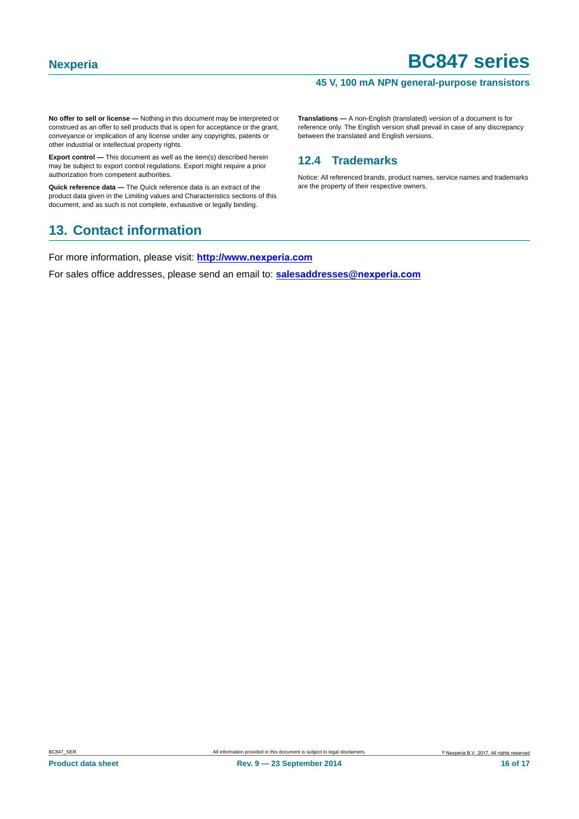#### **45 V, 100 mA NPN general-purpose transistors**

**No offer to sell or license —** Nothing in this document may be interpreted or construed as an offer to sell products that is open for acceptance or the grant, conveyance or implication of any license under any copyrights, patents or other industrial or intellectual property rights.

**Export control —** This document as well as the item(s) described herein may be subject to export control regulations. Export might require a prior authorization from competent authorities.

**Quick reference data —** The Quick reference data is an extract of the product data given in the Limiting values and Characteristics sections of this document, and as such is not complete, exhaustive or legally binding.

## <span id="page-15-1"></span>**13. Contact information**

For more information, please visit: **http://www.nexperia.com**

For sales office addresses, please send an email to: **salesaddresses@nexperia.com**

## reference only. The English version shall prevail in case of any discrepancy between the translated and English versions.

## <span id="page-15-0"></span>**12.4 Trademarks**

Notice: All referenced brands, product names, service names and trademarks are the property of their respective owners.

**Translations —** A non-English (translated) version of a document is for